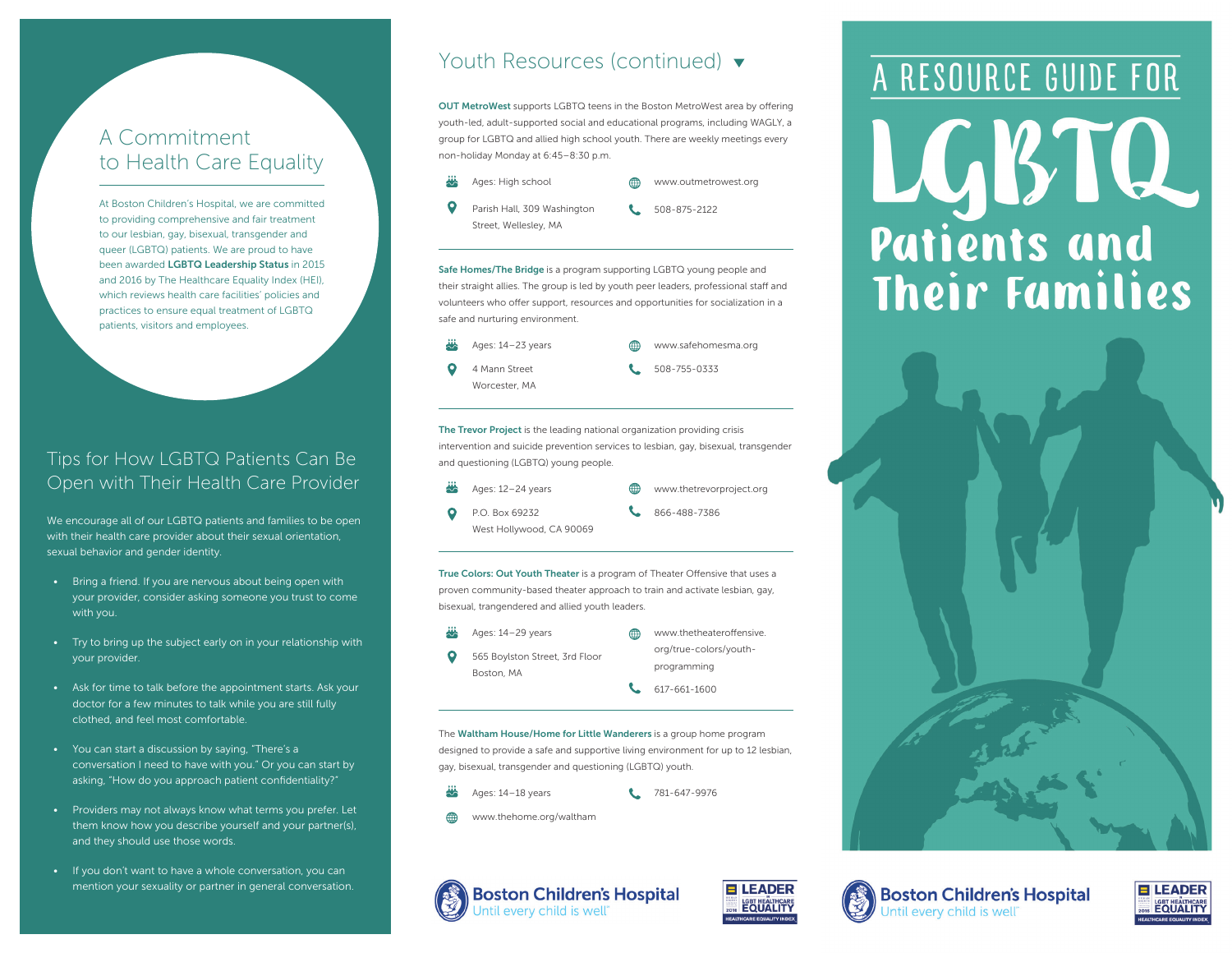# A Commitment to Health Care Equality

At Boston Children's Hospital, we are committed to providing comprehensive and fair treatment to our lesbian, gay, bisexual, transgender and queer (LGBTQ) patients. We are proud to have been awarded LGBTQ Leadership Status in 2015 and 2016 by The Healthcare Equality Index (HEI), which reviews health care facilities' policies and practices to ensure equal treatment of LGBTQ patients, visitors and employees.

### Tips for How LGBTQ Patients Can Be Open with Their Health Care Provider

We encourage all of our LGBTQ patients and families to be open with their health care provider about their sexual orientation, sexual behavior and gender identity.

- Bring a friend. If you are nervous about being open with your provider, consider asking someone you trust to come with you.
- Try to bring up the subject early on in your relationship with your provider.
- Ask for time to talk before the appointment starts. Ask your doctor for a few minutes to talk while you are still fully clothed, and feel most comfortable.
- You can start a discussion by saying, "There's a conversation I need to have with you." Or you can start by asking, "How do you approach patient confidentiality?"
- Providers may not always know what terms you prefer. Let them know how you describe yourself and your partner(s), and they should use those words.
- If you don't want to have a whole conversation, you can mention your sexuality or partner in general conversation.

## Youth Resources (continued)  $\blacktriangledown$

OUT MetroWest supports LGBTQ teens in the Boston MetroWest area by offering youth-led, adult-supported social and educational programs, including WAGLY, a group for LGBTQ and allied high school youth. There are weekly meetings every non-holiday Monday at 6:45–8:30 p.m.



Safe Homes/The Bridge is a program supporting LGBTQ young people and their straight allies. The group is led by youth peer leaders, professional staff and volunteers who offer support, resources and opportunities for socialization in a safe and nurturing environment.

#### ₩ Ages: 14–23 years www.safehomesma.org 4 Mann Street 508-755-0333 Worcester, MA

The Trevor Project is the leading national organization providing crisis intervention and suicide prevention services to lesbian, gay, bisexual, transgender and questioning (LGBTQ) young people.

- Ages: 12–24 years
- www.thetrevorproject.org
- $\bullet$ P.O. Box 69232 West Hollywood, CA 90069
- 866-488-7386

True Colors: Out Youth Theater is a program of Theater Offensive that uses a

proven community-based theater approach to train and activate lesbian, gay, bisexual, trangendered and allied youth leaders.

- Ages: 14–29 years
- $\bullet$ 565 Boylston Street, 3rd Floor Boston, MA

#### ⊕ www.thetheateroffensive. org/true-colors/youthprogramming

617-661-1600

The Waltham House/Home for Little Wanderers is a group home program designed to provide a safe and supportive living environment for up to 12 lesbian, gay, bisexual, transgender and questioning (LGBTQ) youth.

Ages: 14–18 years

- 781-647-9976
- www.thehome.org/waltham



# A RESOURCE GUIDE FOR LGBTQ **Patients and Their Families**







**Boston Children's Hospital** Intil every child is well<sup>\*</sup>